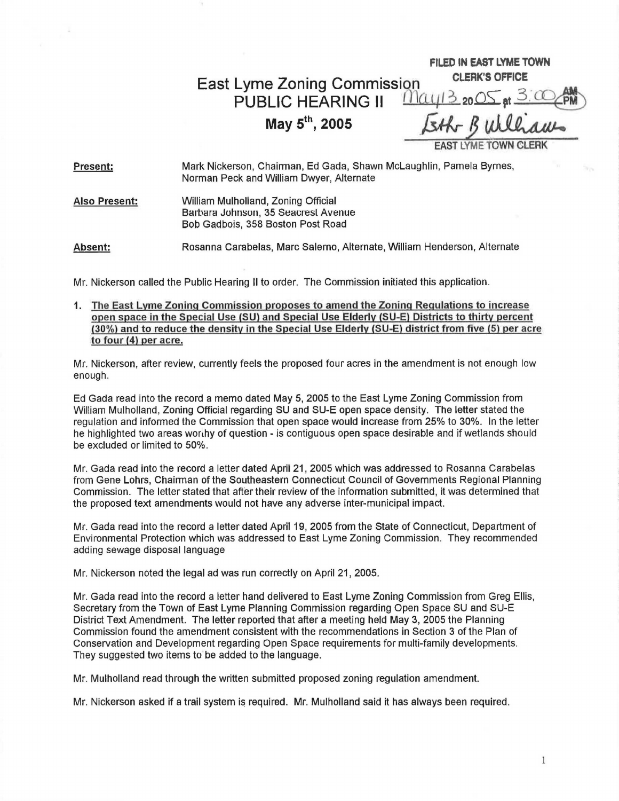East Lyme Zoning Commission **CLERK'S OFFICE**  PUBLIC HEARING  $\mathbf{I}$   $\mathbf{M}\alpha$ **May 5**

**the COMMISSION**<br> **th, 2005** *Ether Builliaus*<br> **th, 2005** *Ether Builliaus* **EXMETOWN** 

**FILED IN EAST LYME TOWN** 

**Present:**  Mark Nickerson, Chairman, Ed Gada, Shawn McLaughlin, Pamela Byrnes, Norman Peck and William Dwyer, Alternate

**Also Present:** William Mulholland, Zoning Official Barbara Johnson, 35 Seacrest Avenue Bob Gadbois, 358 Boston Post Road

**Absent:** Rosanna Carabelas, Marc Salerno, Alternate, William Henderson, Alternate

Mr. Nickerson called the Public Hearing II to order. The Commission initiated this application.

1. The East Lyme Zoning Commission proposes to amend the Zoning Regulations to increase open space in the Special Use (SU) and Special Use Elderly (SU-E) Districts to thirty percent (30%) and to reduce the density in the Special Use Elderly (SU-E} district from five (5) per acre to four (4) per acre.

Mr. Nickerson, after review, currently feels the proposed four acres in the amendment is not enough low enough.

Ed Gada read into the record a memo dated May 5, 2005 to the East Lyme Zoning Commission from William Mulholland, Zoning Official regarding SU and SU-E open space density. The letter stated the regulation and informed the Commission that open space would increase from 25% to 30%. In the letter he highlighted two areas worthy of question - is contiguous open space desirable and if wetlands should be excluded or limited to 50%.

Mr. Gada read into the record a letter dated April 21, 2005 which was addressed to Rosanna Carabelas from Gene Lohrs, Chairman of the Southeastern Connecticut Council of Governments Regional Planning Commission. The letter stated that after their review of the information submitted, it was determined that the proposed text amendments would not have any adverse inter-municipal impact.

Mr. Gada read into the record a letter dated April 19, 2005 from the State of Connecticut, Department of Environmental Protection which was addressed to East Lyme Zoning Commission. They recommended adding sewage disposal language

Mr. Nickerson noted the legal ad was run correctly on April 21 , 2005.

Mr. Gada read into the record a letter hand delivered to East Lyme Zoning Commission from Greg Ellis, Secretary from the Town of East Lyme Planning Commission regarding Open Space SU and SU-E District Text Amendment. The letter reported that after a meeting held May 3, 2005 the Planning Commission found the amendment consistent with the recommendations in Section 3 of the Plan of Conservation and Development regarding Open Space requirements for multi-family developments. They suggested two items to be added to the language.

Mr. Mulholland read through the written submitted proposed zoning regulation amendment.

Mr. Nickerson asked if a trail system is required. Mr. Mulholland said it has always been required.